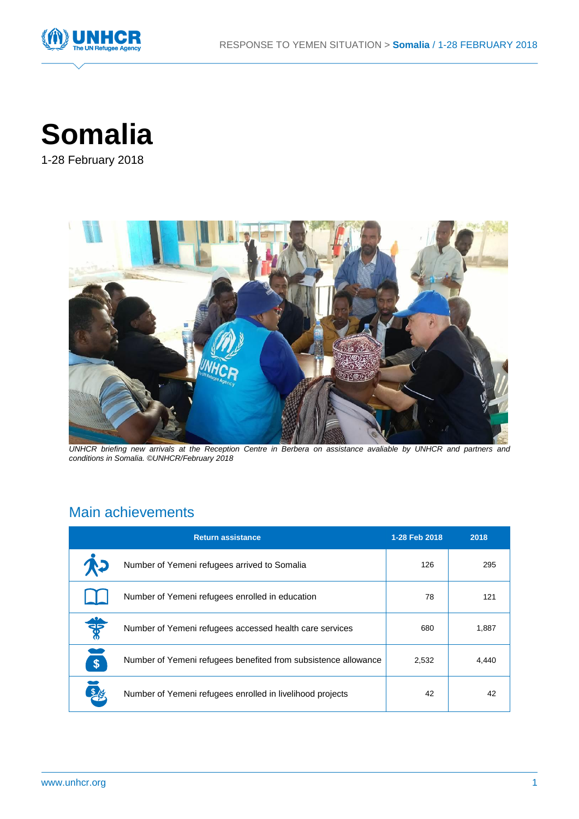



1-28 February 2018



*UNHCR briefing new arrivals at the Reception Centre in Berbera on assistance avaliable by UNHCR and partners and conditions in Somalia. ©UNHCR/February 2018*

# Main achievements

|               | <b>Return assistance</b>                                       | 1-28 Feb 2018 | 2018  |
|---------------|----------------------------------------------------------------|---------------|-------|
|               | Number of Yemeni refugees arrived to Somalia                   | 126           | 295   |
|               | Number of Yemeni refugees enrolled in education                | 78            | 121   |
| ₩             | Number of Yemeni refugees accessed health care services        | 680           | 1,887 |
| $\mathbf{\$}$ | Number of Yemeni refugees benefited from subsistence allowance | 2,532         | 4,440 |
|               | Number of Yemeni refugees enrolled in livelihood projects      | 42            | 42    |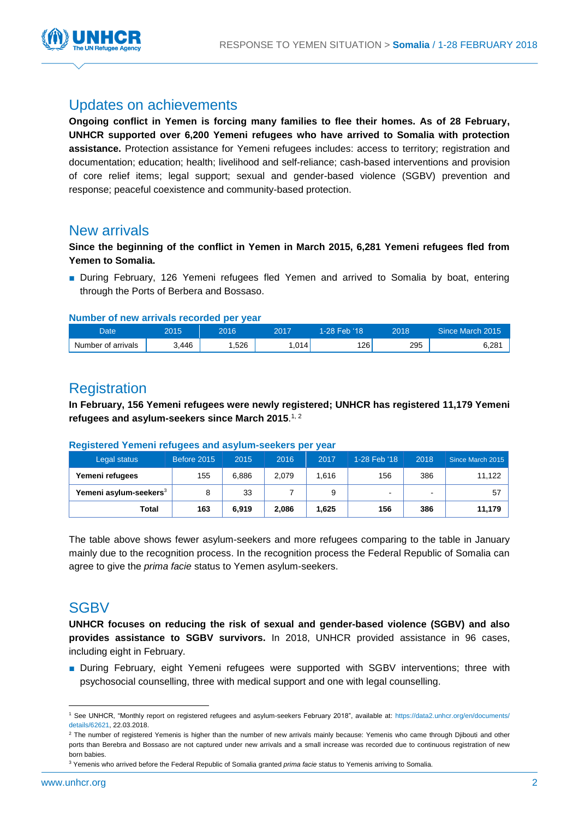

### Updates on achievements

**Ongoing conflict in Yemen is forcing many families to flee their homes. As of 28 February, UNHCR supported over 6,200 Yemeni refugees who have arrived to Somalia with protection assistance.** Protection assistance for Yemeni refugees includes: access to territory; registration and documentation; education; health; livelihood and self-reliance; cash-based interventions and provision of core relief items; legal support; sexual and gender-based violence (SGBV) prevention and response; peaceful coexistence and community-based protection.

### New arrivals

**Since the beginning of the conflict in Yemen in March 2015, 6,281 Yemeni refugees fled from Yemen to Somalia.**

■ During February, 126 Yemeni refugees fled Yemen and arrived to Somalia by boat, entering through the Ports of Berbera and Bossaso.

#### **Number of new arrivals recorded per year**

| Date               | 2015  | 2016 | 2017 | 1-28 Feb '18 | 2018 | Since March 2015 |
|--------------------|-------|------|------|--------------|------|------------------|
| Number of arrivals | 3,446 | .526 | .014 | 126          | 295  | 6,281            |

## **Registration**

**In February, 156 Yemeni refugees were newly registered; UNHCR has registered 11,179 Yemeni refugees and asylum-seekers since March 2015**. 1, 2

| Legal status                       | Before 2015 | 2015  | 2016  | 2017  | 1-28 Feb '18   | 2018 | Since March 2015 |
|------------------------------------|-------------|-------|-------|-------|----------------|------|------------------|
| Yemeni refugees                    | 155         | 6.886 | 2.079 | 1.616 | 156            | 386  | 11,122           |
| Yemeni asylum-seekers <sup>3</sup> | 8           | 33    |       | 9     | $\blacksquare$ | ۰.   | 57               |
| Total                              | 163         | 6,919 | 2.086 | 1,625 | 156            | 386  | 11,179           |

#### **Registered Yemeni refugees and asylum-seekers per year**

The table above shows fewer asylum-seekers and more refugees comparing to the table in January mainly due to the recognition process. In the recognition process the Federal Republic of Somalia can agree to give the *prima facie* status to Yemen asylum-seekers.

### **SGBV**

**UNHCR focuses on reducing the risk of sexual and gender-based violence (SGBV) and also provides assistance to SGBV survivors.** In 2018, UNHCR provided assistance in 96 cases, including eight in February.

■ During February, eight Yemeni refugees were supported with SGBV interventions; three with psychosocial counselling, three with medical support and one with legal counselling.

l

<sup>1</sup> See UNHCR, "Monthly report on registered refugees and asylum-seekers February 2018", available at: [https://data2.unhcr.org/en/documents/](https://data2.unhcr.org/en/documents/%20details/62621)  [details/62621,](https://data2.unhcr.org/en/documents/%20details/62621) 22.03.2018.

<sup>&</sup>lt;sup>2</sup> The number of registered Yemenis is higher than the number of new arrivals mainly because: Yemenis who came through Djibouti and other ports than Berebra and Bossaso are not captured under new arrivals and a small increase was recorded due to continuous registration of new born babies.

<sup>3</sup> Yemenis who arrived before the Federal Republic of Somalia granted *prima facie* status to Yemenis arriving to Somalia.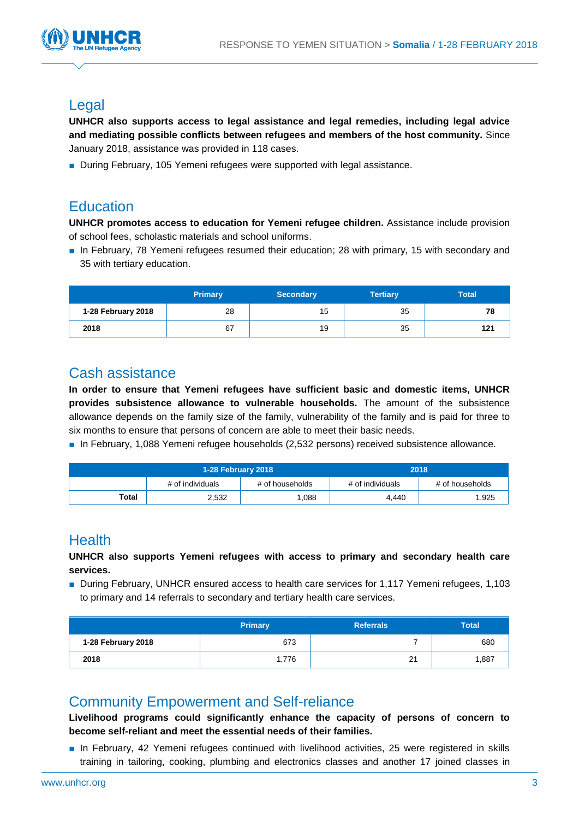

### Legal

**UNHCR also supports access to legal assistance and legal remedies, including legal advice and mediating possible conflicts between refugees and members of the host community.** Since January 2018, assistance was provided in 118 cases.

■ During February, 105 Yemeni refugees were supported with legal assistance.

### **Education**

**UNHCR promotes access to education for Yemeni refugee children.** Assistance include provision of school fees, scholastic materials and school uniforms.

■ In February, 78 Yemeni refugees resumed their education; 28 with primary, 15 with secondary and 35 with tertiary education.

|                    | <b>Primary</b> | <b>Secondary</b> | <b>Tertiary</b> | <b>Total</b> |
|--------------------|----------------|------------------|-----------------|--------------|
| 1-28 February 2018 | 28             | 15               | 35              | 78           |
| 2018               | 67             | 19               | 35              | 121          |

## Cash assistance

**In order to ensure that Yemeni refugees have sufficient basic and domestic items, UNHCR provides subsistence allowance to vulnerable households.** The amount of the subsistence allowance depends on the family size of the family, vulnerability of the family and is paid for three to six months to ensure that persons of concern are able to meet their basic needs.

■ In February, 1,088 Yemeni refugee households (2,532 persons) received subsistence allowance.

|       | 1-28 February 2018 |                 | 2018             |                 |  |
|-------|--------------------|-----------------|------------------|-----------------|--|
|       | # of individuals   | # of households | # of individuals | # of households |  |
| Total | 2,532              | 1.088           | 4.440            | 1,925           |  |

## **Health**

#### **UNHCR also supports Yemeni refugees with access to primary and secondary health care services.**

■ During February, UNHCR ensured access to health care services for 1,117 Yemeni refugees, 1,103 to primary and 14 referrals to secondary and tertiary health care services.

|                    | <b>Primary</b> | <b>Referrals</b> | <b>Total</b> |
|--------------------|----------------|------------------|--------------|
| 1-28 February 2018 | 673            |                  | 680          |
| 2018               | 1,776          | 21               | 1,887        |

### Community Empowerment and Self-reliance

**Livelihood programs could significantly enhance the capacity of persons of concern to become self-reliant and meet the essential needs of their families.** 

■ In February, 42 Yemeni refugees continued with livelihood activities, 25 were registered in skills training in tailoring, cooking, plumbing and electronics classes and another 17 joined classes in